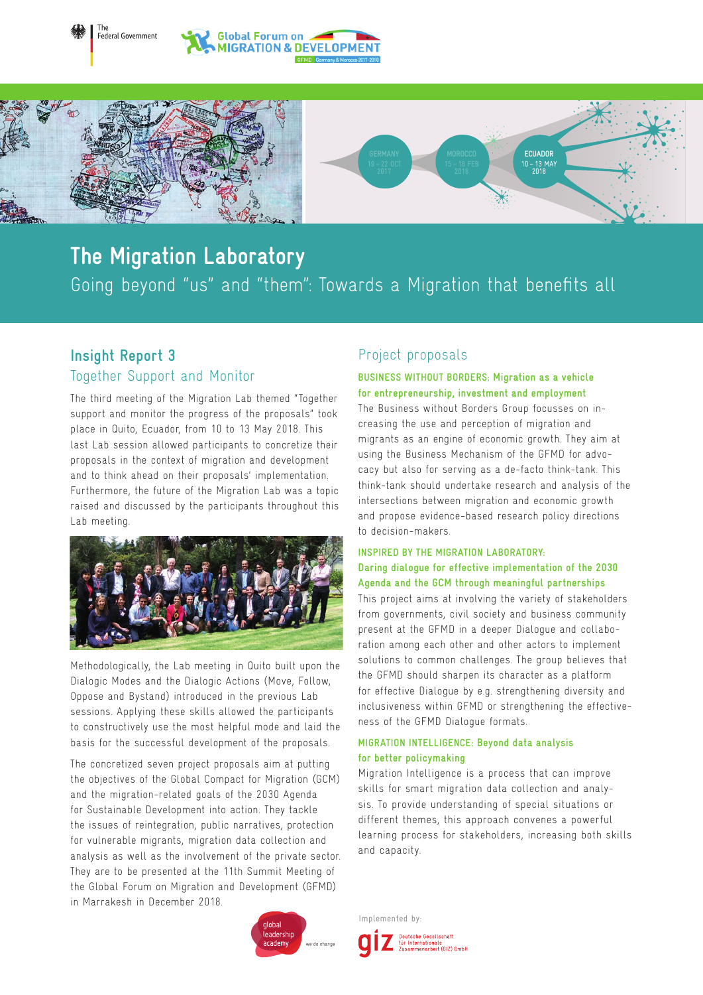



# Going beyond "us" and "them": Towards a Migration that benefits all **The Migration Laboratory**

## **Insight Report 3** Together Support and Monitor

The

The third meeting of the Migration Lab themed "Together support and monitor the progress of the proposals" took place in Quito, Ecuador, from 10 to 13 May 2018. This last Lab session allowed participants to concretize their proposals in the context of migration and development and to think ahead on their proposals' implementation. Furthermore, the future of the Migration Lab was a topic raised and discussed by the participants throughout this Lab meeting.



Methodologically, the Lab meeting in Quito built upon the Dialogic Modes and the Dialogic Actions (Move, Follow, Oppose and Bystand) introduced in the previous Lab sessions. Applying these skills allowed the participants to constructively use the most helpful mode and laid the basis for the successful development of the proposals.

The concretized seven project proposals aim at putting the objectives of the Global Compact for Migration (GCM) and the migration-related goals of the 2030 Agenda for Sustainable Development into action. They tackle the issues of reintegration, public narratives, protection for vulnerable migrants, migration data collection and analysis as well as the involvement of the private sector. They are to be presented at the 11th Summit Meeting of the Global Forum on Migration and Development (GFMD) in Marrakesh in December 2018.

### Project proposals

to decision-makers.

#### **BUSINESS WITHOUT BORDERS: Migration as a vehicle for entrepreneurship, investment and employment** The Business without Borders Group focusses on increasing the use and perception of migration and migrants as an engine of economic growth. They aim at using the Business Mechanism of the GFMD for advocacy but also for serving as a de-facto think-tank. This think-tank should undertake research and analysis of the intersections between migration and economic growth and propose evidence-based research policy directions

#### **INSPIRED BY THE MIGRATION LABORATORY: Daring dialogue for effective implementation of the 2030 Agenda and the GCM through meaningful partnerships**

This project aims at involving the variety of stakeholders from governments, civil society and business community present at the GFMD in a deeper Dialogue and collaboration among each other and other actors to implement solutions to common challenges. The group believes that the GFMD should sharpen its character as a platform for effective Dialogue by e.g. strengthening diversity and inclusiveness within GFMD or strengthening the effectiveness of the GFMD Dialogue formats.

#### **MIGRATION INTELLIGENCE: Beyond data analysis for better policymaking**

Migration Intelligence is a process that can improve skills for smart migration data collection and analysis. To provide understanding of special situations or different themes, this approach convenes a powerful learning process for stakeholders, increasing both skills and capacity.



Implemented by:

Deutsche Gesellschaft<br>für Internationale<br>Zusammenarbeit (GIZ) GmbH